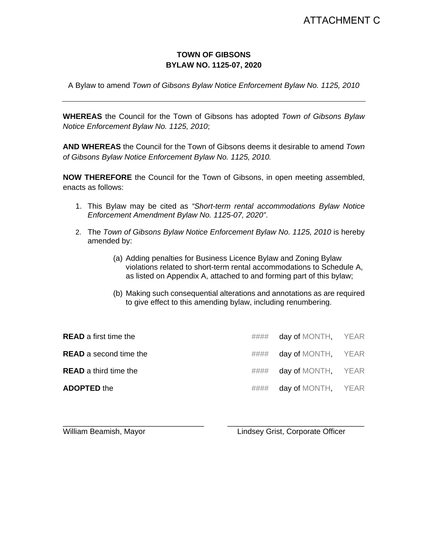## **TOWN OF GIBSONS BYLAW NO. 1125-07, 2020**

A Bylaw to amend *Town of Gibsons Bylaw Notice Enforcement Bylaw No. 1125, 2010*

**WHEREAS** the Council for the Town of Gibsons has adopted *Town of Gibsons Bylaw Notice Enforcement Bylaw No. 1125, 2010*;

**AND WHEREAS** the Council for the Town of Gibsons deems it desirable to amend *Town of Gibsons Bylaw Notice Enforcement Bylaw No. 1125, 2010.*

**NOW THEREFORE** the Council for the Town of Gibsons, in open meeting assembled, enacts as follows:

- 1. This Bylaw may be cited as *"Short-term rental accommodations Bylaw Notice Enforcement Amendment Bylaw No. 1125-07, 2020"*.
- 2. The *Town of Gibsons Bylaw Notice Enforcement Bylaw No. 1125, 2010* is hereby amended by:
	- (a) Adding penalties for Business Licence Bylaw and Zoning Bylaw violations related to short-term rental accommodations to Schedule A, as listed on Appendix A, attached to and forming part of this bylaw;
	- (b) Making such consequential alterations and annotations as are required to give effect to this amending bylaw, including renumbering.

| <b>READ</b> a first time the  |      | #### day of MONTH, YEAR |  |
|-------------------------------|------|-------------------------|--|
| <b>READ</b> a second time the | #### | day of MONTH, YEAR      |  |
| <b>READ</b> a third time the  | #### | day of MONTH, YEAR      |  |
| <b>ADOPTED the</b>            | #### | day of MONTH, YEAR      |  |

\_\_\_\_\_\_\_\_\_\_\_\_\_\_\_\_\_\_\_\_\_\_\_\_\_\_\_\_\_\_\_\_\_ \_\_\_\_\_\_\_\_\_\_\_\_\_\_\_\_\_\_\_\_\_\_\_\_\_\_\_\_\_\_\_\_ William Beamish, Mayor **Lindsey Grist, Corporate Officer**